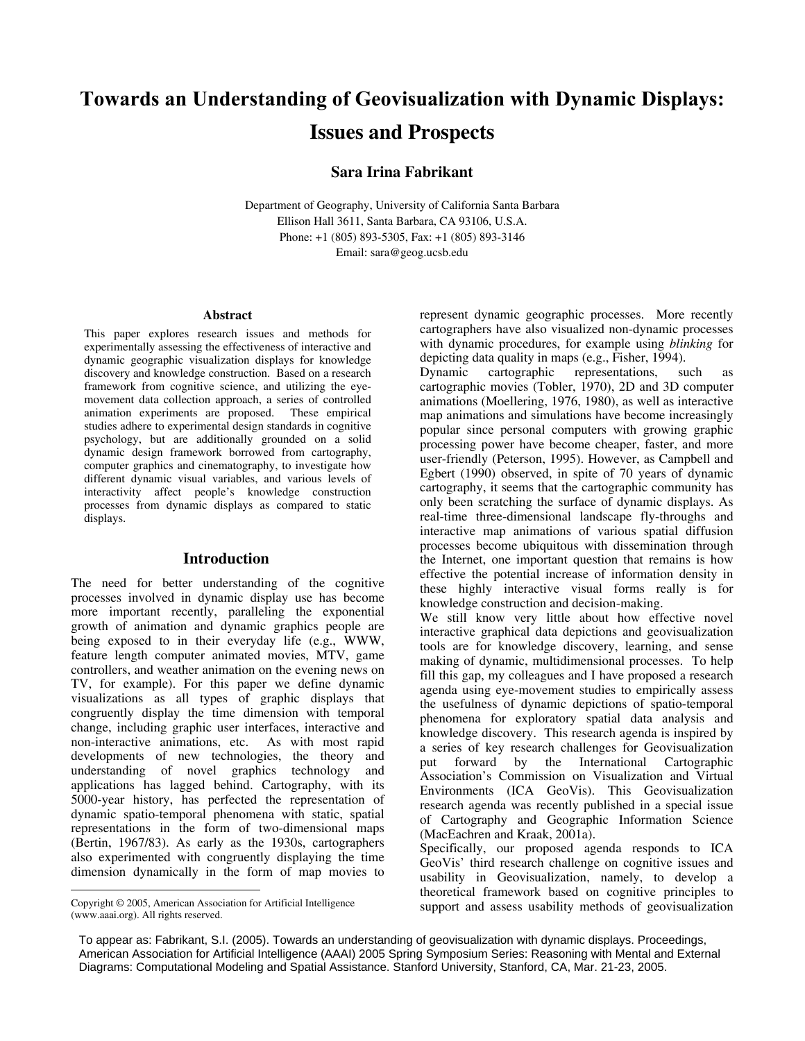# **Towards an Understanding of Geovisualization with Dynamic Displays: Issues and Prospects**

## **Sara Irina Fabrikant**

Department of Geography, University of California Santa Barbara Ellison Hall 3611, Santa Barbara, CA 93106, U.S.A. Phone: +1 (805) 893-5305, Fax: +1 (805) 893-3146 Email: sara@geog.ucsb.edu

#### **Abstract**

This paper explores research issues and methods for experimentally assessing the effectiveness of interactive and dynamic geographic visualization displays for knowledge discovery and knowledge construction. Based on a research framework from cognitive science, and utilizing the eyemovement data collection approach, a series of controlled animation experiments are proposed. These empirical studies adhere to experimental design standards in cognitive psychology, but are additionally grounded on a solid dynamic design framework borrowed from cartography, computer graphics and cinematography, to investigate how different dynamic visual variables, and various levels of interactivity affect people's knowledge construction processes from dynamic displays as compared to static displays.

#### **Introduction**

The need for better understanding of the cognitive processes involved in dynamic display use has become more important recently, paralleling the exponential growth of animation and dynamic graphics people are being exposed to in their everyday life (e.g., WWW, feature length computer animated movies, MTV, game controllers, and weather animation on the evening news on TV, for example). For this paper we define dynamic visualizations as all types of graphic displays that congruently display the time dimension with temporal change, including graphic user interfaces, interactive and non-interactive animations, etc. As with most rapid developments of new technologies, the theory and understanding of novel graphics technology and applications has lagged behind. Cartography, with its 5000-year history, has perfected the representation of dynamic spatio-temporal phenomena with static, spatial representations in the form of two-dimensional maps (Bertin, 1967/83). As early as the 1930s, cartographers also experimented with congruently displaying the time dimension dynamically in the form of map movies to

<span id="page-0-0"></span>Copyright © 2005, American Association for Artificial Intelligence (www.aaai.org). All rights reserved.

 $\overline{a}$ 

represent dynamic geographic processes. More recently cartographers have also visualized non-dynamic processes with dynamic procedures, for example using *blinking* for depicting data quality in maps (e.g., Fisher, 1994).

Dynamic cartographic representations, such as cartographic movies (Tobler, 1970), 2D and 3D computer animations (Moellering, 1976, 1980), as well as interactive map animations and simulations have become increasingly popular since personal computers with growing graphic processing power have become cheaper, faster, and more user-friendly (Peterson, 1995). However, as Campbell and Egbert (1990) observed, in spite of 70 years of dynamic cartography, it seems that the cartographic community has only been scratching the surface of dynamic displays. As real-time three-dimensional landscape fly-throughs and interactive map animations of various spatial diffusion processes become ubiquitous with dissemination through the Internet, one important question that remains is how effective the potential increase of information density in these highly interactive visual forms really is for knowledge construction and decision-making.

We still know very little about how effective novel interactive graphical data depictions and geovisualization tools are for knowledge discovery, learning, and sense making of dynamic, multidimensional processes. To help fill this gap, my colleagues and I have proposed a research agenda using eye-movement studies to empirically assess the usefulness of dynamic depictions of spatio-temporal phenomena for exploratory spatial data analysis and knowledge discovery. This research agenda is inspired by a series of key research challenges for Geovisualization put forward by the International Cartographic Association's Commission on Visualization and Virtual Environments (ICA GeoVis). This Geovisualization research agenda was recently published in a special issue of Cartography and Geographic Information Science (MacEachren and Kraak, 2001a).

Specifically, our proposed agenda responds to ICA GeoVis' third research challenge on cognitive issues and usability in Geovisualization, namely, to develop a theoretical framework based on cognitive principles to support and assess usability methods of geovisualization

To appear as: Fabrikant, S.I. (2005). Towards an understanding of geovisualization with dynamic displays. Proceedings, American Association for Artificial Intelligence (AAAI) 2005 Spring Symposium Series: Reasoning with Mental and External Diagrams: Computational Modeling and Spatial Assistance. Stanford University, Stanford, CA, Mar. 21-23, 2005.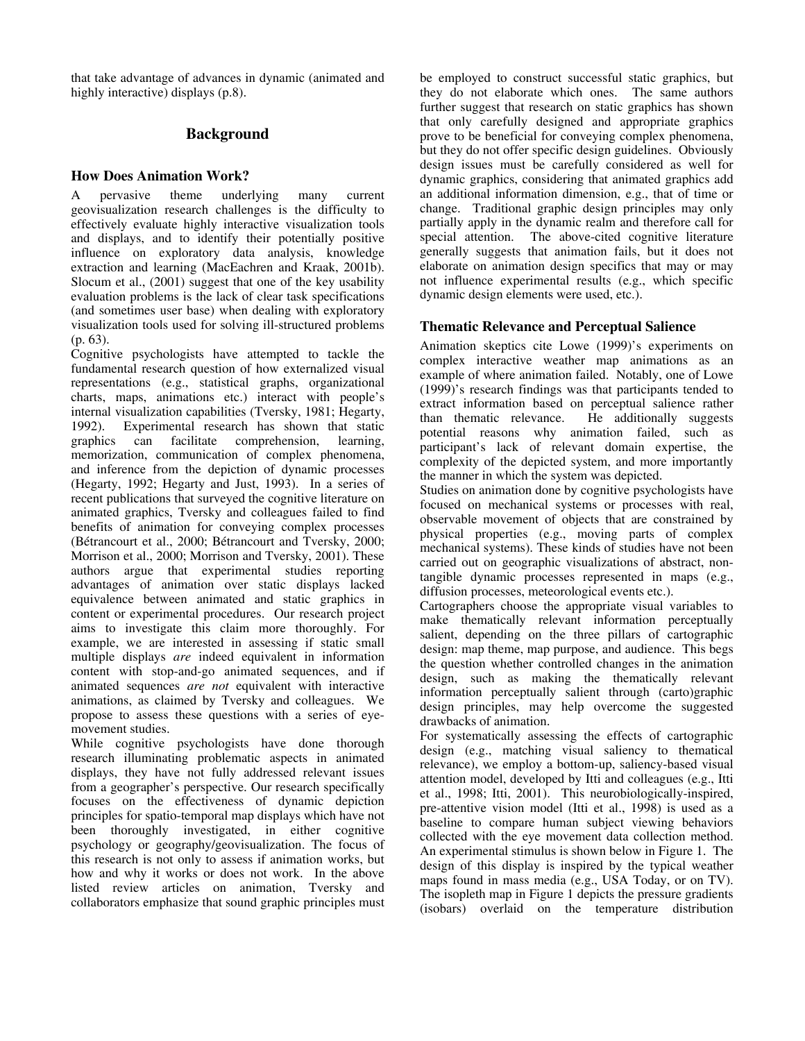that take advantage of advances in dynamic (animated and highly interactive) displays (p.8).

# **Background**

# **How Does Animation Work?**

A pervasive theme underlying many current geovisualization research challenges is the difficulty to effectively evaluate highly interactive visualization tools and displays, and to identify their potentially positive influence on exploratory data analysis, knowledge extraction and learning (MacEachren and Kraak, 2001b). Slocum et al., (2001) suggest that one of the key usability evaluation problems is the lack of clear task specifications (and sometimes user base) when dealing with exploratory visualization tools used for solving ill-structured problems (p. 63).

Cognitive psychologists have attempted to tackle the fundamental research question of how externalized visual representations (e.g., statistical graphs, organizational charts, maps, animations etc.) interact with people's internal visualization capabilities (Tversky, 1981; Hegarty, 1992). Experimental research has shown that static graphics can facilitate comprehension, learning, memorization, communication of complex phenomena, and inference from the depiction of dynamic processes (Hegarty, 1992; Hegarty and Just, 1993). In a series of recent publications that surveyed the cognitive literature on animated graphics, Tversky and colleagues failed to find benefits of animation for conveying complex processes (Bétrancourt et al., 2000; Bétrancourt and Tversky, 2000; Morrison et al., 2000; Morrison and Tversky, 2001). These authors argue that experimental studies reporting advantages of animation over static displays lacked equivalence between animated and static graphics in content or experimental procedures. Our research project aims to investigate this claim more thoroughly. For example, we are interested in assessing if static small multiple displays *are* indeed equivalent in information content with stop-and-go animated sequences, and if animated sequences *are not* equivalent with interactive animations, as claimed by Tversky and colleagues. We propose to assess these questions with a series of eyemovement studies.

While cognitive psychologists have done thorough research illuminating problematic aspects in animated displays, they have not fully addressed relevant issues from a geographer's perspective. Our research specifically focuses on the effectiveness of dynamic depiction principles for spatio-temporal map displays which have not been thoroughly investigated, in either cognitive psychology or geography/geovisualization. The focus of this research is not only to assess if animation works, but how and why it works or does not work. In the above listed review articles on animation, Tversky and collaborators emphasize that sound graphic principles must be employed to construct successful static graphics, but they do not elaborate which ones. The same authors further suggest that research on static graphics has shown that only carefully designed and appropriate graphics prove to be beneficial for conveying complex phenomena, but they do not offer specific design guidelines. Obviously design issues must be carefully considered as well for dynamic graphics, considering that animated graphics add an additional information dimension, e.g., that of time or change. Traditional graphic design principles may only partially apply in the dynamic realm and therefore call for special attention. The above-cited cognitive literature generally suggests that animation fails, but it does not elaborate on animation design specifics that may or may not influence experimental results (e.g., which specific dynamic design elements were used, etc.).

# **Thematic Relevance and Perceptual Salience**

Animation skeptics cite Lowe (1999)'s experiments on complex interactive weather map animations as an example of where animation failed. Notably, one of Lowe (1999)'s research findings was that participants tended to extract information based on perceptual salience rather than thematic relevance. He additionally suggests potential reasons why animation failed, such as participant's lack of relevant domain expertise, the complexity of the depicted system, and more importantly the manner in which the system was depicted.

Studies on animation done by cognitive psychologists have focused on mechanical systems or processes with real, observable movement of objects that are constrained by physical properties (e.g., moving parts of complex mechanical systems). These kinds of studies have not been carried out on geographic visualizations of abstract, nontangible dynamic processes represented in maps (e.g., diffusion processes, meteorological events etc.).

Cartographers choose the appropriate visual variables to make thematically relevant information perceptually salient, depending on the three pillars of cartographic design: map theme, map purpose, and audience. This begs the question whether controlled changes in the animation design, such as making the thematically relevant information perceptually salient through (carto)graphic design principles, may help overcome the suggested drawbacks of animation.

For systematically assessing the effects of cartographic design (e.g., matching visual saliency to thematical relevance), we employ a bottom-up, saliency-based visual attention model, developed by Itti and colleagues (e.g., Itti et al., 1998; Itti, 2001). This neurobiologically-inspired, pre-attentive vision model (Itti et al., 1998) is used as a baseline to compare human subject viewing behaviors collected with the eye movement data collection method. An experimental stimulus is shown below in Figure 1. The design of this display is inspired by the typical weather maps found in mass media (e.g., USA Today, or on TV). The isopleth map in Figure 1 depicts the pressure gradients (isobars) overlaid on the temperature distribution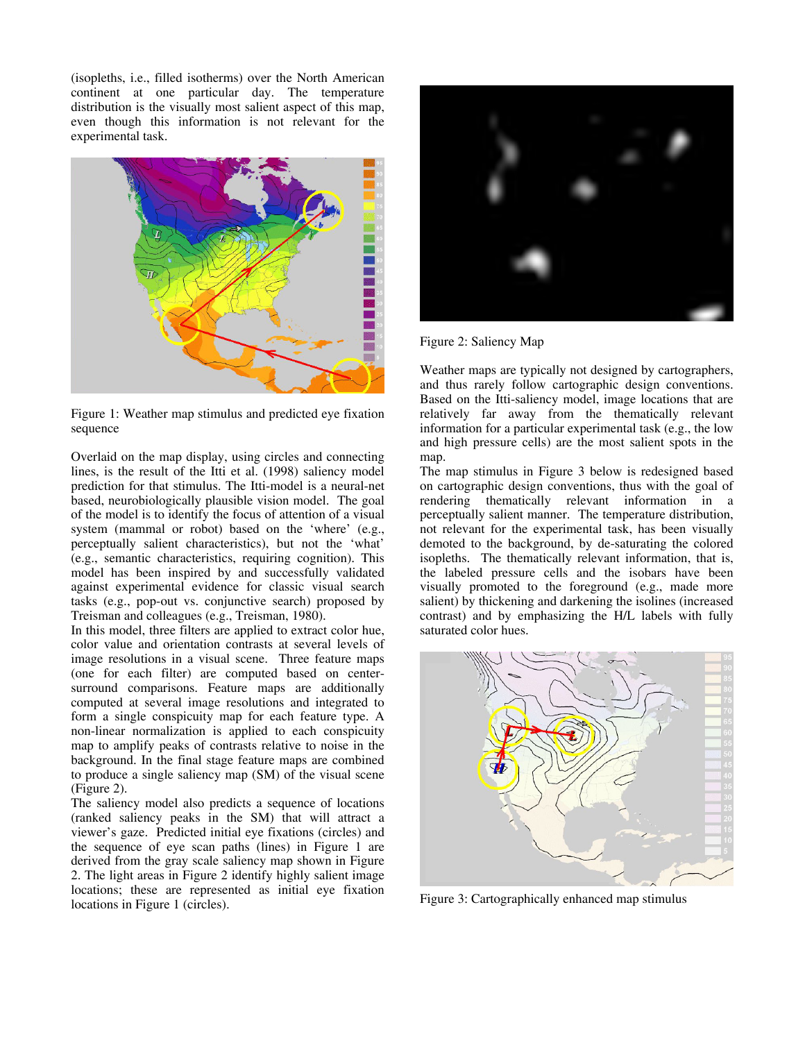(isopleths, i.e., filled isotherms) over the North American continent at one particular day. The temperature distribution is the visually most salient aspect of this map, even though this information is not relevant for the experimental task.



Figure 1: Weather map stimulus and predicted eye fixation sequence

Overlaid on the map display, using circles and connecting lines, is the result of the Itti et al. (1998) saliency model prediction for that stimulus. The Itti-model is a neural-net based, neurobiologically plausible vision model. The goal of the model is to identify the focus of attention of a visual system (mammal or robot) based on the 'where' (e.g., perceptually salient characteristics), but not the 'what' (e.g., semantic characteristics, requiring cognition). This model has been inspired by and successfully validated against experimental evidence for classic visual search tasks (e.g., pop-out vs. conjunctive search) proposed by Treisman and colleagues (e.g., Treisman, 1980).

In this model, three filters are applied to extract color hue, color value and orientation contrasts at several levels of image resolutions in a visual scene. Three feature maps (one for each filter) are computed based on centersurround comparisons. Feature maps are additionally computed at several image resolutions and integrated to form a single conspicuity map for each feature type. A non-linear normalization is applied to each conspicuity map to amplify peaks of contrasts relative to noise in the background. In the final stage feature maps are combined to produce a single saliency map (SM) of the visual scene (Figure 2).

The saliency model also predicts a sequence of locations (ranked saliency peaks in the SM) that will attract a viewer's gaze. Predicted initial eye fixations (circles) and the sequence of eye scan paths (lines) in Figure 1 are derived from the gray scale saliency map shown in Figure 2. The light areas in Figure 2 identify highly salient image locations; these are represented as initial eye fixation locations in Figure 1 (circles).



Figure 2: Saliency Map

Weather maps are typically not designed by cartographers, and thus rarely follow cartographic design conventions. Based on the Itti-saliency model, image locations that are relatively far away from the thematically relevant information for a particular experimental task (e.g., the low and high pressure cells) are the most salient spots in the map.

The map stimulus in Figure 3 below is redesigned based on cartographic design conventions, thus with the goal of rendering thematically relevant information in a perceptually salient manner. The temperature distribution, not relevant for the experimental task, has been visually demoted to the background, by de-saturating the colored isopleths. The thematically relevant information, that is, the labeled pressure cells and the isobars have been visually promoted to the foreground (e.g., made more salient) by thickening and darkening the isolines (increased contrast) and by emphasizing the H/L labels with fully saturated color hues.



Figure 3: Cartographically enhanced map stimulus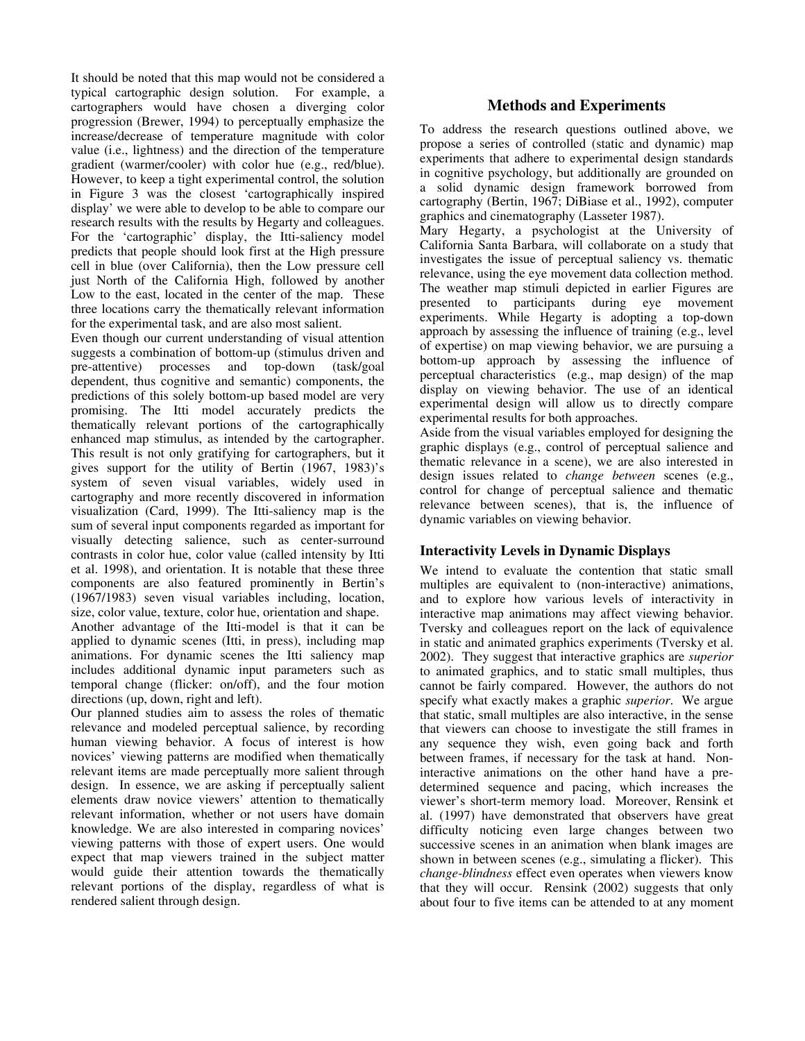It should be noted that this map would not be considered a typical cartographic design solution. For example, a cartographers would have chosen a diverging color progression (Brewer, 1994) to perceptually emphasize the increase/decrease of temperature magnitude with color value (i.e., lightness) and the direction of the temperature gradient (warmer/cooler) with color hue (e.g., red/blue). However, to keep a tight experimental control, the solution in Figure 3 was the closest 'cartographically inspired display' we were able to develop to be able to compare our research results with the results by Hegarty and colleagues. For the 'cartographic' display, the Itti-saliency model predicts that people should look first at the High pressure cell in blue (over California), then the Low pressure cell just North of the California High, followed by another Low to the east, located in the center of the map. These three locations carry the thematically relevant information for the experimental task, and are also most salient.

Even though our current understanding of visual attention suggests a combination of bottom-up (stimulus driven and pre-attentive) processes and top-down (task/goal dependent, thus cognitive and semantic) components, the predictions of this solely bottom-up based model are very promising. The Itti model accurately predicts the thematically relevant portions of the cartographically enhanced map stimulus, as intended by the cartographer. This result is not only gratifying for cartographers, but it gives support for the utility of Bertin (1967, 1983)'s system of seven visual variables, widely used in cartography and more recently discovered in information visualization (Card, 1999). The Itti-saliency map is the sum of several input components regarded as important for visually detecting salience, such as center-surround contrasts in color hue, color value (called intensity by Itti et al. 1998), and orientation. It is notable that these three components are also featured prominently in Bertin's (1967/1983) seven visual variables including, location, size, color value, texture, color hue, orientation and shape.

Another advantage of the Itti-model is that it can be applied to dynamic scenes (Itti, in press), including map animations. For dynamic scenes the Itti saliency map includes additional dynamic input parameters such as temporal change (flicker: on/off), and the four motion directions (up, down, right and left).

Our planned studies aim to assess the roles of thematic relevance and modeled perceptual salience, by recording human viewing behavior. A focus of interest is how novices' viewing patterns are modified when thematically relevant items are made perceptually more salient through design. In essence, we are asking if perceptually salient elements draw novice viewers' attention to thematically relevant information, whether or not users have domain knowledge. We are also interested in comparing novices' viewing patterns with those of expert users. One would expect that map viewers trained in the subject matter would guide their attention towards the thematically relevant portions of the display, regardless of what is rendered salient through design.

# **Methods and Experiments**

To address the research questions outlined above, we propose a series of controlled (static and dynamic) map experiments that adhere to experimental design standards in cognitive psychology, but additionally are grounded on a solid dynamic design framework borrowed from cartography (Bertin, 1967; DiBiase et al., 1992), computer graphics and cinematography (Lasseter 1987).

Mary Hegarty, a psychologist at the University of California Santa Barbara, will collaborate on a study that investigates the issue of perceptual saliency vs. thematic relevance, using the eye movement data collection method. The weather map stimuli depicted in earlier Figures are presented to participants during eye movement experiments. While Hegarty is adopting a top-down approach by assessing the influence of training (e.g., level of expertise) on map viewing behavior, we are pursuing a bottom-up approach by assessing the influence of perceptual characteristics (e.g., map design) of the map display on viewing behavior. The use of an identical experimental design will allow us to directly compare experimental results for both approaches.

Aside from the visual variables employed for designing the graphic displays (e.g., control of perceptual salience and thematic relevance in a scene), we are also interested in design issues related to *change between* scenes (e.g., control for change of perceptual salience and thematic relevance between scenes), that is, the influence of dynamic variables on viewing behavior.

# **Interactivity Levels in Dynamic Displays**

We intend to evaluate the contention that static small multiples are equivalent to (non-interactive) animations, and to explore how various levels of interactivity in interactive map animations may affect viewing behavior. Tversky and colleagues report on the lack of equivalence in static and animated graphics experiments (Tversky et al. 2002). They suggest that interactive graphics are *superior* to animated graphics, and to static small multiples, thus cannot be fairly compared. However, the authors do not specify what exactly makes a graphic *superior*. We argue that static, small multiples are also interactive, in the sense that viewers can choose to investigate the still frames in any sequence they wish, even going back and forth between frames, if necessary for the task at hand. Noninteractive animations on the other hand have a predetermined sequence and pacing, which increases the viewer's short-term memory load. Moreover, Rensink et al. (1997) have demonstrated that observers have great difficulty noticing even large changes between two successive scenes in an animation when blank images are shown in between scenes (e.g., simulating a flicker). This *change-blindness* effect even operates when viewers know that they will occur. Rensink (2002) suggests that only about four to five items can be attended to at any moment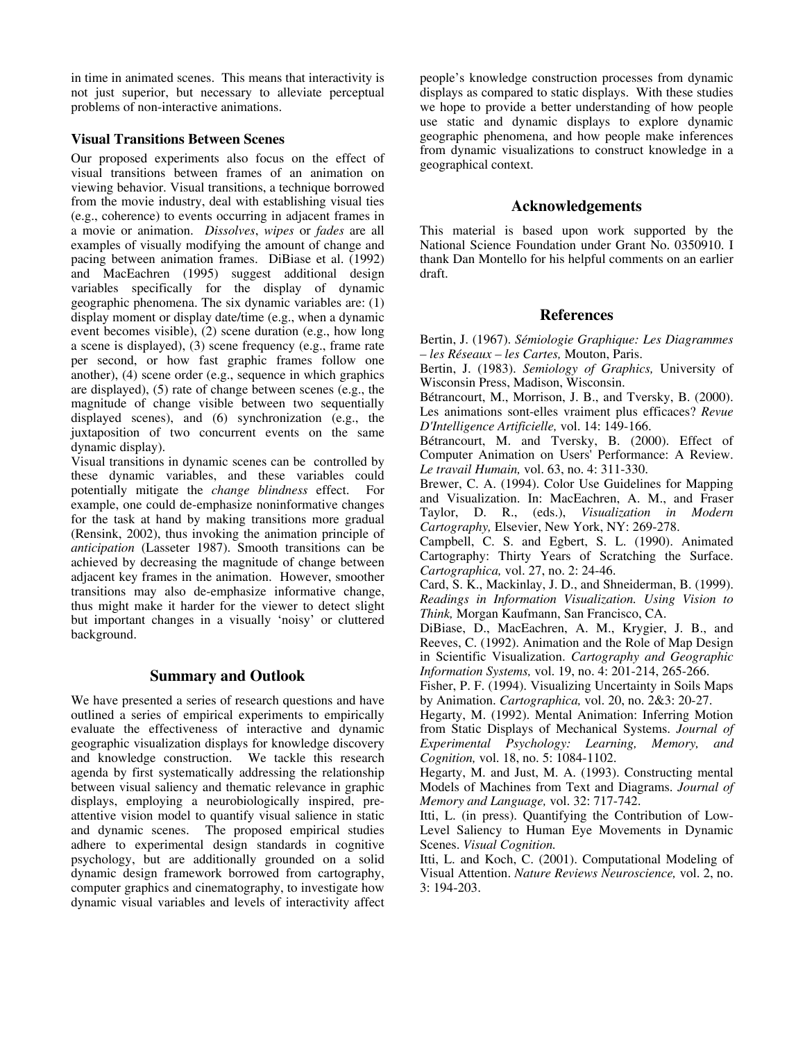in time in animated scenes. This means that interactivity is not just superior, but necessary to alleviate perceptual problems of non-interactive animations.

#### **Visual Transitions Between Scenes**

Our proposed experiments also focus on the effect of visual transitions between frames of an animation on viewing behavior. Visual transitions, a technique borrowed from the movie industry, deal with establishing visual ties (e.g., coherence) to events occurring in adjacent frames in a movie or animation. *Dissolves*, *wipes* or *fades* are all examples of visually modifying the amount of change and pacing between animation frames. DiBiase et al. (1992) and MacEachren (1995) suggest additional design variables specifically for the display of dynamic geographic phenomena. The six dynamic variables are: (1) display moment or display date/time (e.g., when a dynamic event becomes visible), (2) scene duration (e.g., how long a scene is displayed), (3) scene frequency (e.g., frame rate per second, or how fast graphic frames follow one another), (4) scene order (e.g., sequence in which graphics are displayed), (5) rate of change between scenes (e.g., the magnitude of change visible between two sequentially displayed scenes), and (6) synchronization (e.g., the juxtaposition of two concurrent events on the same dynamic display).

Visual transitions in dynamic scenes can be controlled by these dynamic variables, and these variables could potentially mitigate the *change blindness* effect. For example, one could de-emphasize noninformative changes for the task at hand by making transitions more gradual (Rensink, 2002), thus invoking the animation principle of *anticipation* (Lasseter 1987). Smooth transitions can be achieved by decreasing the magnitude of change between adjacent key frames in the animation. However, smoother transitions may also de-emphasize informative change, thus might make it harder for the viewer to detect slight but important changes in a visually 'noisy' or cluttered background.

## **Summary and Outlook**

We have presented a series of research questions and have outlined a series of empirical experiments to empirically evaluate the effectiveness of interactive and dynamic geographic visualization displays for knowledge discovery and knowledge construction. We tackle this research agenda by first systematically addressing the relationship between visual saliency and thematic relevance in graphic displays, employing a neurobiologically inspired, preattentive vision model to quantify visual salience in static and dynamic scenes. The proposed empirical studies adhere to experimental design standards in cognitive psychology, but are additionally grounded on a solid dynamic design framework borrowed from cartography, computer graphics and cinematography, to investigate how dynamic visual variables and levels of interactivity affect people's knowledge construction processes from dynamic displays as compared to static displays. With these studies we hope to provide a better understanding of how people use static and dynamic displays to explore dynamic geographic phenomena, and how people make inferences from dynamic visualizations to construct knowledge in a geographical context.

## **Acknowledgements**

This material is based upon work supported by the National Science Foundation under Grant No. 0350910. I thank Dan Montello for his helpful comments on an earlier draft.

#### **References**

Bertin, J. (1967). *Sémiologie Graphique: Les Diagrammes – les Réseaux – les Cartes,* Mouton, Paris.

Bertin, J. (1983). *Semiology of Graphics,* University of Wisconsin Press, Madison, Wisconsin.

Bétrancourt, M., Morrison, J. B., and Tversky, B. (2000). Les animations sont-elles vraiment plus efficaces? *Revue D'Intelligence Artificielle,* vol. 14: 149-166.

Bétrancourt, M. and Tversky, B. (2000). Effect of Computer Animation on Users' Performance: A Review. *Le travail Humain,* vol. 63, no. 4: 311-330.

Brewer, C. A. (1994). Color Use Guidelines for Mapping and Visualization. In: MacEachren, A. M., and Fraser Taylor, D. R., (eds.), *Visualization in Modern Cartography,* Elsevier, New York, NY: 269-278.

Campbell, C. S. and Egbert, S. L. (1990). Animated Cartography: Thirty Years of Scratching the Surface. *Cartographica,* vol. 27, no. 2: 24-46.

Card, S. K., Mackinlay, J. D., and Shneiderman, B. (1999). *Readings in Information Visualization. Using Vision to Think,* Morgan Kaufmann, San Francisco, CA.

DiBiase, D., MacEachren, A. M., Krygier, J. B., and Reeves, C. (1992). Animation and the Role of Map Design in Scientific Visualization. *Cartography and Geographic Information Systems,* vol. 19, no. 4: 201-214, 265-266.

Fisher, P. F. (1994). Visualizing Uncertainty in Soils Maps by Animation. *Cartographica,* vol. 20, no. 2&3: 20-27.

Hegarty, M. (1992). Mental Animation: Inferring Motion from Static Displays of Mechanical Systems. *Journal of Experimental Psychology: Learning, Memory, and Cognition,* vol. 18, no. 5: 1084-1102.

Hegarty, M. and Just, M. A. (1993). Constructing mental Models of Machines from Text and Diagrams. *Journal of Memory and Language,* vol. 32: 717-742.

Itti, L. (in press). Quantifying the Contribution of Low-Level Saliency to Human Eye Movements in Dynamic Scenes. *Visual Cognition.*

Itti, L. and Koch, C. (2001). Computational Modeling of Visual Attention. *Nature Reviews Neuroscience,* vol. 2, no. 3: 194-203.